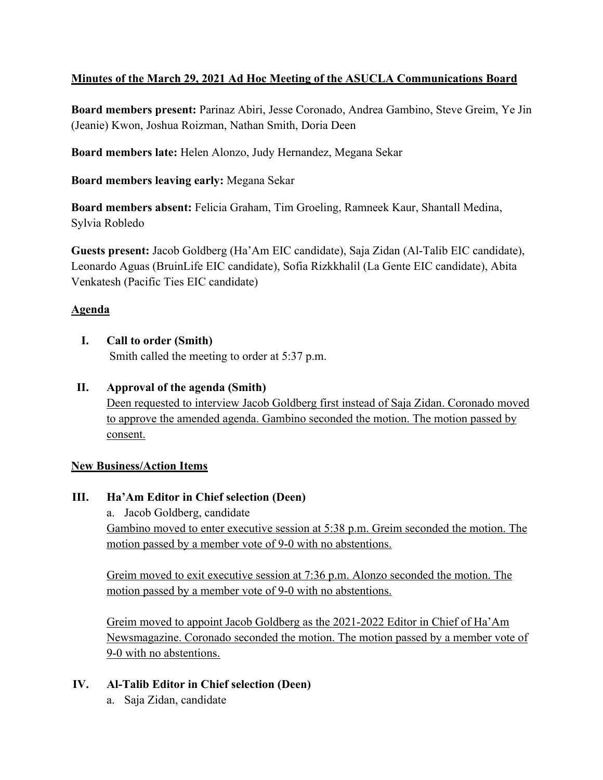## **Minutes of the March 29, 2021 Ad Hoc Meeting of the ASUCLA Communications Board**

**Board members present:** Parinaz Abiri, Jesse Coronado, Andrea Gambino, Steve Greim, Ye Jin (Jeanie) Kwon, Joshua Roizman, Nathan Smith, Doria Deen

**Board members late:** Helen Alonzo, Judy Hernandez, Megana Sekar

**Board members leaving early:** Megana Sekar

**Board members absent:** Felicia Graham, Tim Groeling, Ramneek Kaur, Shantall Medina, Sylvia Robledo

**Guests present:** Jacob Goldberg (Ha'Am EIC candidate), Saja Zidan (Al-Talib EIC candidate), Leonardo Aguas (BruinLife EIC candidate), Sofia Rizkkhalil (La Gente EIC candidate), Abita Venkatesh (Pacific Ties EIC candidate)

## **Agenda**

**I. Call to order (Smith)**

Smith called the meeting to order at 5:37 p.m.

**II. Approval of the agenda (Smith)** Deen requested to interview Jacob Goldberg first instead of Saja Zidan. Coronado moved to approve the amended agenda. Gambino seconded the motion. The motion passed by consent.

#### **New Business/Action Items**

**III. Ha'Am Editor in Chief selection (Deen)**

a. Jacob Goldberg, candidate Gambino moved to enter executive session at 5:38 p.m. Greim seconded the motion. The motion passed by a member vote of 9-0 with no abstentions.

Greim moved to exit executive session at 7:36 p.m. Alonzo seconded the motion. The motion passed by a member vote of 9-0 with no abstentions.

Greim moved to appoint Jacob Goldberg as the 2021-2022 Editor in Chief of Ha'Am Newsmagazine. Coronado seconded the motion. The motion passed by a member vote of 9-0 with no abstentions.

#### **IV. Al-Talib Editor in Chief selection (Deen)**

a. Saja Zidan, candidate